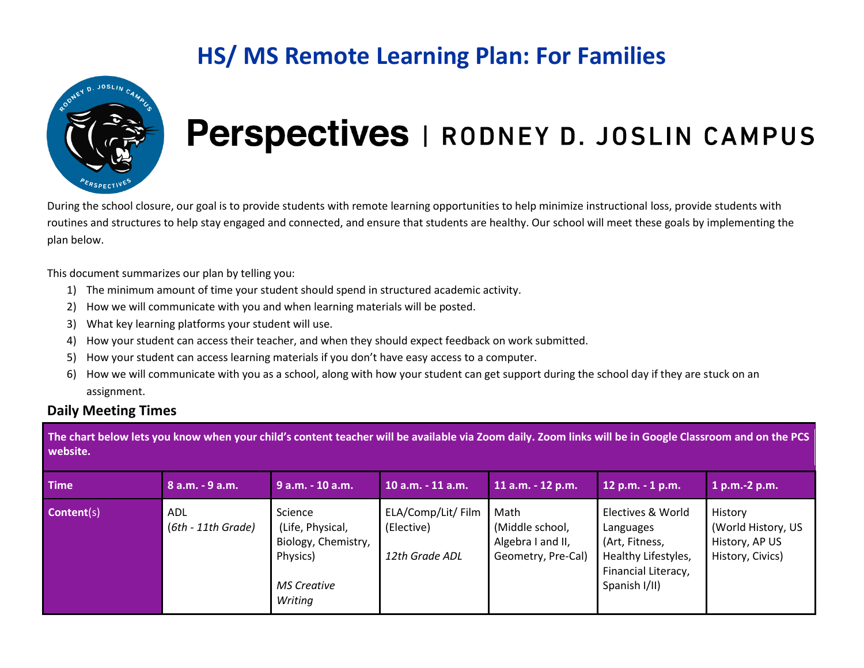

# Perspectives | RODNEY D. JOSLIN CAMPUS

During the school closure, our goal is to provide students with remote learning opportunities to help minimize instructional loss, provide students with routines and structures to help stay engaged and connected, and ensure that students are healthy. Our school will meet these goals by implementing the plan below.

This document summarizes our plan by telling you:

- 1) The minimum amount of time your student should spend in structured academic activity.
- 2) How we will communicate with you and when learning materials will be posted.
- 3) What key learning platforms your student will use.
- 4) How your student can access their teacher, and when they should expect feedback on work submitted.
- 5) How your student can access learning materials if you don't have easy access to a computer.
- 6) How we will communicate with you as a school, along with how your student can get support during the school day if they are stuck on an assignment.

#### **Daily Meeting Times**

**The chart below lets you know when your child's content teacher will be available via Zoom daily. Zoom links will be in Google Classroom and on the PCS website.**

| <b>Time</b>       | $8$ a.m. $-9$ a.m.          | 9 a.m. - 10 a.m.                                                                                | 10 a.m. - 11 a.m. .                                | $11$ a.m. $-12$ p.m.                                               | 12 p.m. - 1 p.m.                                                                                                | $1 p.m.-2 p.m.$                                                     |
|-------------------|-----------------------------|-------------------------------------------------------------------------------------------------|----------------------------------------------------|--------------------------------------------------------------------|-----------------------------------------------------------------------------------------------------------------|---------------------------------------------------------------------|
| <b>Content(s)</b> | ADL<br>$(6th - 11th$ Grade) | Science<br>(Life, Physical,<br>Biology, Chemistry,<br>Physics)<br><b>MS Creative</b><br>Writing | ELA/Comp/Lit/ Film<br>(Elective)<br>12th Grade ADL | Math<br>(Middle school,<br>Algebra I and II,<br>Geometry, Pre-Cal) | Electives & World<br>Languages<br>(Art, Fitness,<br>Healthy Lifestyles,<br>Financial Literacy,<br>Spanish I/II) | History<br>(World History, US<br>History, AP US<br>History, Civics) |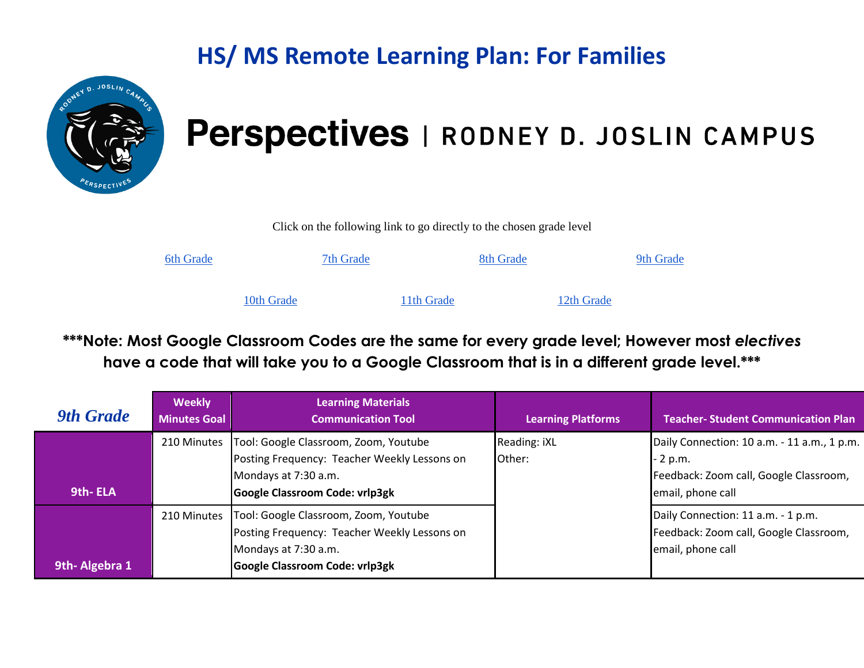

### Perspectives | RODNEY D. JOSLIN CAMPUS

Click on the following link to go directly to the chosen grade level

| <b>6th Grade</b> |            | 7th Grade |            | 8th Grade |            | 9th Grade |
|------------------|------------|-----------|------------|-----------|------------|-----------|
|                  | 10th Grade |           | 11th Grade |           | 12th Grade |           |

\*\*\*Note: Most Google Classroom Codes are the same for every grade level; However most electives **have a code that will take you to a Google Classroom that is in a different grade level.\*\*\***

<span id="page-1-0"></span>

| <b>9th Grade</b> | <b>Weekly</b><br><b>Minutes Goal</b> | <b>Learning Materials</b><br><b>Communication Tool</b>                                                                                          | <b>Learning Platforms</b> | <b>Teacher-Student Communication Plan</b>                                                                              |
|------------------|--------------------------------------|-------------------------------------------------------------------------------------------------------------------------------------------------|---------------------------|------------------------------------------------------------------------------------------------------------------------|
| 9th-ELA          | 210 Minutes                          | Tool: Google Classroom, Zoom, Youtube<br>Posting Frequency: Teacher Weekly Lessons on<br>Mondays at 7:30 a.m.<br>Google Classroom Code: vrlp3gk | Reading: iXL<br>Other:    | Daily Connection: 10 a.m. - 11 a.m., 1 p.m.<br>- 2 p.m.<br>Feedback: Zoom call, Google Classroom,<br>email, phone call |
| 9th-Algebra 1    | 210 Minutes                          | Tool: Google Classroom, Zoom, Youtube<br>Posting Frequency: Teacher Weekly Lessons on<br>Mondays at 7:30 a.m.<br>Google Classroom Code: vrlp3gk |                           | Daily Connection: 11 a.m. - 1 p.m.<br>Feedback: Zoom call, Google Classroom,<br>email, phone call                      |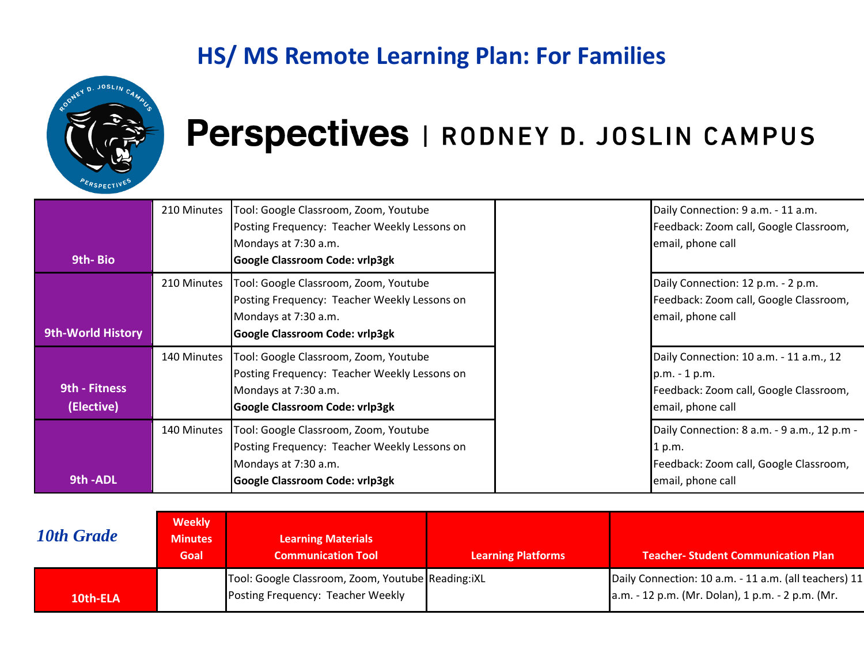

| 9th-Bio                     | 210 Minutes | Tool: Google Classroom, Zoom, Youtube<br>Posting Frequency: Teacher Weekly Lessons on<br>Mondays at 7:30 a.m.<br><b>Google Classroom Code: vrlp3gk</b> | Daily Connection: 9 a.m. - 11 a.m.<br>Feedback: Zoom call, Google Classroom,<br>email, phone call                       |
|-----------------------------|-------------|--------------------------------------------------------------------------------------------------------------------------------------------------------|-------------------------------------------------------------------------------------------------------------------------|
| <b>9th-World History</b>    | 210 Minutes | Tool: Google Classroom, Zoom, Youtube<br>Posting Frequency: Teacher Weekly Lessons on<br>Mondays at 7:30 a.m.<br><b>Google Classroom Code: vrlp3gk</b> | Daily Connection: 12 p.m. - 2 p.m.<br>Feedback: Zoom call, Google Classroom,<br>email, phone call                       |
| 9th - Fitness<br>(Elective) | 140 Minutes | Tool: Google Classroom, Zoom, Youtube<br>Posting Frequency: Teacher Weekly Lessons on<br>Mondays at 7:30 a.m.<br><b>Google Classroom Code: vrlp3gk</b> | Daily Connection: 10 a.m. - 11 a.m., 12<br>p.m. - 1 p.m.<br>Feedback: Zoom call, Google Classroom,<br>email, phone call |
| 9th-ADL                     | 140 Minutes | Tool: Google Classroom, Zoom, Youtube<br>Posting Frequency: Teacher Weekly Lessons on<br>Mondays at 7:30 a.m.<br><b>Google Classroom Code: vrlp3gk</b> | Daily Connection: 8 a.m. - 9 a.m., 12 p.m -<br>1 p.m.<br>Feedback: Zoom call, Google Classroom,<br>email, phone call    |

<span id="page-2-0"></span>

| 10th Grade | <b>Weekly</b><br><b>Minutes</b><br>Goal | <b>Learning Materials</b><br><b>Communication Tool</b>                                 | <b>Learning Platforms</b> | <b>Teacher-Student Communication Plan</b>                                                                 |
|------------|-----------------------------------------|----------------------------------------------------------------------------------------|---------------------------|-----------------------------------------------------------------------------------------------------------|
| 10th-ELA   |                                         | Tool: Google Classroom, Zoom, Youtube Reading:iXL<br>Posting Frequency: Teacher Weekly |                           | Daily Connection: 10 a.m. - 11 a.m. (all teachers) 11<br>a.m. - 12 p.m. (Mr. Dolan), 1 p.m. - 2 p.m. (Mr. |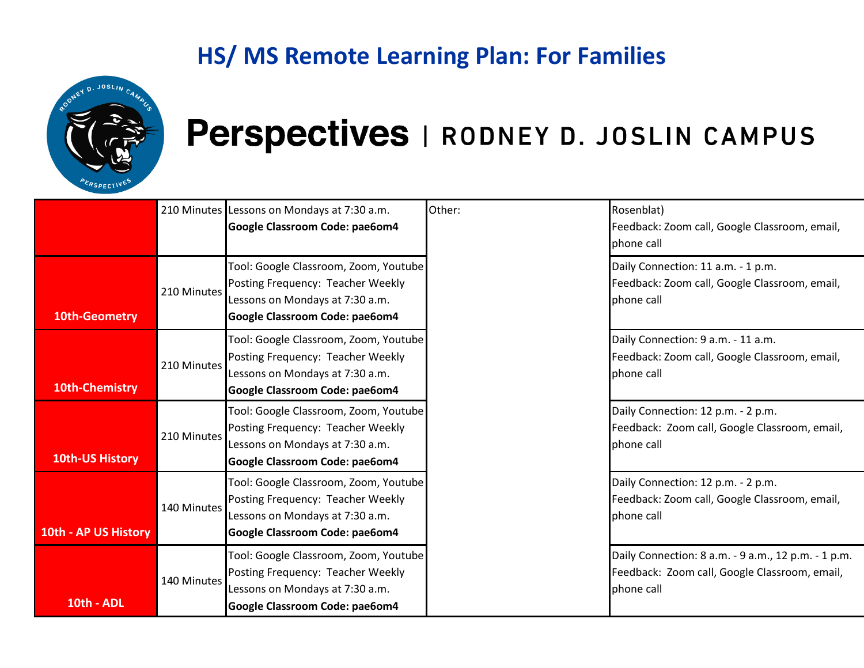

|                      |             | 210 Minutes Lessons on Mondays at 7:30 a.m.<br>Google Classroom Code: pae6om4                                                                   | Other: | Rosenblat)<br>Feedback: Zoom call, Google Classroom, email,<br>phone call                                          |
|----------------------|-------------|-------------------------------------------------------------------------------------------------------------------------------------------------|--------|--------------------------------------------------------------------------------------------------------------------|
| <b>10th-Geometry</b> | 210 Minutes | Tool: Google Classroom, Zoom, Youtube<br>Posting Frequency: Teacher Weekly<br>Lessons on Mondays at 7:30 a.m.<br>Google Classroom Code: pae6om4 |        | Daily Connection: 11 a.m. - 1 p.m.<br>Feedback: Zoom call, Google Classroom, email,<br>phone call                  |
| 10th-Chemistry       | 210 Minutes | Tool: Google Classroom, Zoom, Youtube<br>Posting Frequency: Teacher Weekly<br>Lessons on Mondays at 7:30 a.m.<br>Google Classroom Code: pae6om4 |        | Daily Connection: 9 a.m. - 11 a.m.<br>Feedback: Zoom call, Google Classroom, email,<br>phone call                  |
| 10th-US History      | 210 Minutes | Tool: Google Classroom, Zoom, Youtube<br>Posting Frequency: Teacher Weekly<br>Lessons on Mondays at 7:30 a.m.<br>Google Classroom Code: pae6om4 |        | Daily Connection: 12 p.m. - 2 p.m.<br>Feedback: Zoom call, Google Classroom, email,<br>phone call                  |
| 10th - AP US History | 140 Minutes | Tool: Google Classroom, Zoom, Youtube<br>Posting Frequency: Teacher Weekly<br>Lessons on Mondays at 7:30 a.m.<br>Google Classroom Code: pae6om4 |        | Daily Connection: 12 p.m. - 2 p.m.<br>Feedback: Zoom call, Google Classroom, email,<br>phone call                  |
| 10th - ADL           | 140 Minutes | Tool: Google Classroom, Zoom, Youtube<br>Posting Frequency: Teacher Weekly<br>Lessons on Mondays at 7:30 a.m.<br>Google Classroom Code: pae6om4 |        | Daily Connection: 8 a.m. - 9 a.m., 12 p.m. - 1 p.m.<br>Feedback: Zoom call, Google Classroom, email,<br>phone call |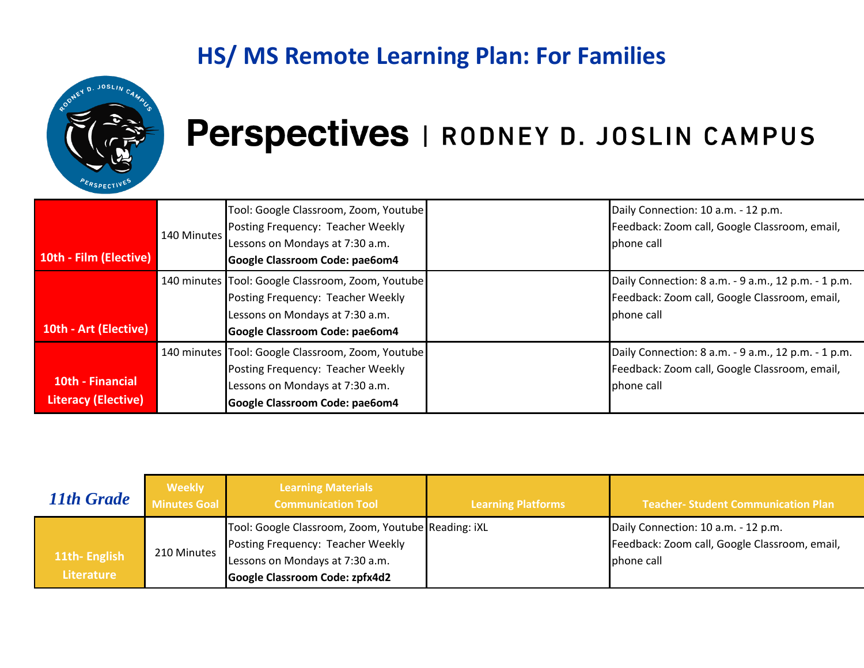

| 10th - Film (Elective)                         | 140 Minutes | Tool: Google Classroom, Zoom, Youtube<br>Posting Frequency: Teacher Weekly<br>Lessons on Mondays at 7:30 a.m.<br>Google Classroom Code: pae6om4             | Daily Connection: 10 a.m. - 12 p.m.<br>Feedback: Zoom call, Google Classroom, email,<br>phone call                  |
|------------------------------------------------|-------------|-------------------------------------------------------------------------------------------------------------------------------------------------------------|---------------------------------------------------------------------------------------------------------------------|
| 10th - Art (Elective)                          |             | 140 minutes Tool: Google Classroom, Zoom, Youtube<br>Posting Frequency: Teacher Weekly<br>Lessons on Mondays at 7:30 a.m.<br>Google Classroom Code: pae6om4 | Daily Connection: 8 a.m. - 9 a.m., 12 p.m. - 1 p.m.<br>Feedback: Zoom call, Google Classroom, email,<br>Iphone call |
| 10th - Financial<br><b>Literacy (Elective)</b> |             | 140 minutes Tool: Google Classroom, Zoom, Youtube<br>Posting Frequency: Teacher Weekly<br>Lessons on Mondays at 7:30 a.m.<br>Google Classroom Code: pae6om4 | Daily Connection: 8 a.m. - 9 a.m., 12 p.m. - 1 p.m.<br>Feedback: Zoom call, Google Classroom, email,<br>phone call  |

<span id="page-4-0"></span>

| 11th Grade                        | <b>Weekly</b><br>Minutes Goal | <b>Learning Materials</b><br><b>Communication Tool</b>                                                                                                       | <b>Learning Platforms</b> | <b>Teacher- Student Communication Plan</b>                                                         |
|-----------------------------------|-------------------------------|--------------------------------------------------------------------------------------------------------------------------------------------------------------|---------------------------|----------------------------------------------------------------------------------------------------|
| 11th-English<br><b>Literature</b> | 210 Minutes                   | Tool: Google Classroom, Zoom, Youtube Reading: iXL<br>Posting Frequency: Teacher Weekly<br>Lessons on Mondays at 7:30 a.m.<br>Google Classroom Code: zpfx4d2 |                           | Daily Connection: 10 a.m. - 12 p.m.<br>Feedback: Zoom call, Google Classroom, email,<br>phone call |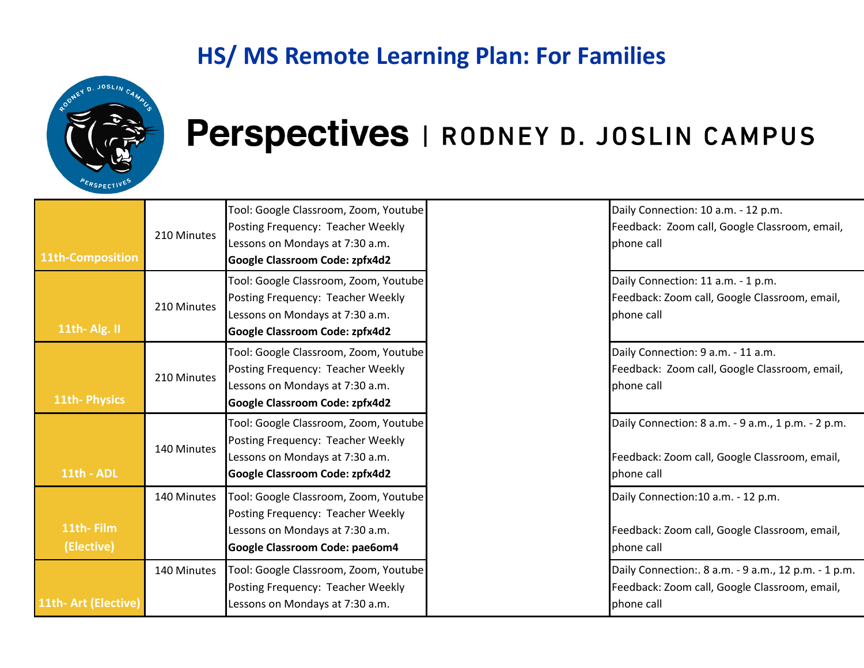

| 11th-Composition        | 210 Minutes | Tool: Google Classroom, Zoom, Youtube<br>Posting Frequency: Teacher Weekly<br>Lessons on Mondays at 7:30 a.m.<br><b>Google Classroom Code: zpfx4d2</b> | Daily Connection: 10 a.m. - 12 p.m.<br>Feedback: Zoom call, Google Classroom, email,<br>phone call                  |
|-------------------------|-------------|--------------------------------------------------------------------------------------------------------------------------------------------------------|---------------------------------------------------------------------------------------------------------------------|
| 11th-Alg. II            | 210 Minutes | Tool: Google Classroom, Zoom, Youtube<br>Posting Frequency: Teacher Weekly<br>Lessons on Mondays at 7:30 a.m.<br><b>Google Classroom Code: zpfx4d2</b> | Daily Connection: 11 a.m. - 1 p.m.<br>Feedback: Zoom call, Google Classroom, email,<br>phone call                   |
| <b>11th-Physics</b>     | 210 Minutes | Tool: Google Classroom, Zoom, Youtube<br>Posting Frequency: Teacher Weekly<br>Lessons on Mondays at 7:30 a.m.<br>Google Classroom Code: zpfx4d2        | Daily Connection: 9 a.m. - 11 a.m.<br>Feedback: Zoom call, Google Classroom, email,<br>phone call                   |
| 11th - ADL              | 140 Minutes | Tool: Google Classroom, Zoom, Youtube<br>Posting Frequency: Teacher Weekly<br>Lessons on Mondays at 7:30 a.m.<br>Google Classroom Code: zpfx4d2        | Daily Connection: 8 a.m. - 9 a.m., 1 p.m. - 2 p.m.<br>Feedback: Zoom call, Google Classroom, email,<br>phone call   |
| 11th-Film<br>(Elective) | 140 Minutes | Tool: Google Classroom, Zoom, Youtube<br>Posting Frequency: Teacher Weekly<br>Lessons on Mondays at 7:30 a.m.<br>Google Classroom Code: pae6om4        | Daily Connection:10 a.m. - 12 p.m.<br>Feedback: Zoom call, Google Classroom, email,<br>phone call                   |
| 11th- Art (Elective)    | 140 Minutes | Tool: Google Classroom, Zoom, Youtube<br>Posting Frequency: Teacher Weekly<br>Lessons on Mondays at 7:30 a.m.                                          | Daily Connection:. 8 a.m. - 9 a.m., 12 p.m. - 1 p.m.<br>Feedback: Zoom call, Google Classroom, email,<br>phone call |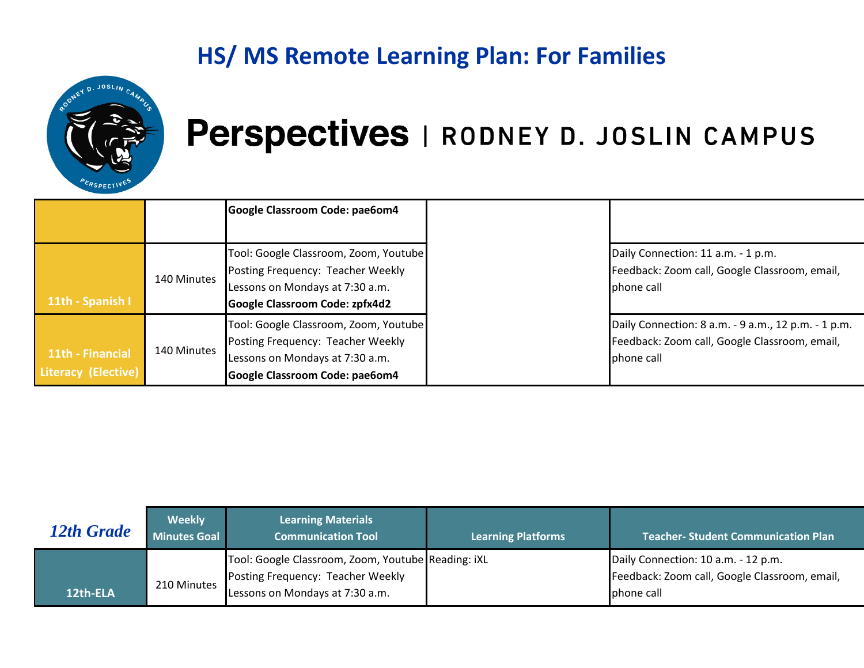

|                                         |             | Google Classroom Code: pae6om4                                                                                                                  |                                                                                                                     |
|-----------------------------------------|-------------|-------------------------------------------------------------------------------------------------------------------------------------------------|---------------------------------------------------------------------------------------------------------------------|
|                                         |             |                                                                                                                                                 |                                                                                                                     |
| 11th - Spanish I                        | 140 Minutes | Tool: Google Classroom, Zoom, Youtube<br>Posting Frequency: Teacher Weekly<br>Lessons on Mondays at 7:30 a.m.<br>Google Classroom Code: zpfx4d2 | Daily Connection: 11 a.m. - 1 p.m.<br>Feedback: Zoom call, Google Classroom, email,<br>phone call                   |
| 11th - Financial<br>Literacy (Elective) | 140 Minutes | Tool: Google Classroom, Zoom, Youtube<br>Posting Frequency: Teacher Weekly<br>Lessons on Mondays at 7:30 a.m.<br>Google Classroom Code: pae6om4 | Daily Connection: 8 a.m. - 9 a.m., 12 p.m. - 1 p.m.<br>Feedback: Zoom call, Google Classroom, email,<br>Iphone call |

<span id="page-6-0"></span>

| 12th Grade | <b>Weekly</b><br>Minutes Goal | <b>Learning Materials</b><br><b>Communication Tool</b> | <b>Learning Platforms</b> | Teacher-Student Communication Plan            |
|------------|-------------------------------|--------------------------------------------------------|---------------------------|-----------------------------------------------|
|            |                               | Tool: Google Classroom, Zoom, Youtube Reading: iXL     |                           | Daily Connection: 10 a.m. - 12 p.m.           |
|            |                               | Posting Frequency: Teacher Weekly                      |                           | Feedback: Zoom call, Google Classroom, email, |
| 12th-ELA   | 210 Minutes                   | Lessons on Mondays at 7:30 a.m.                        |                           | phone call                                    |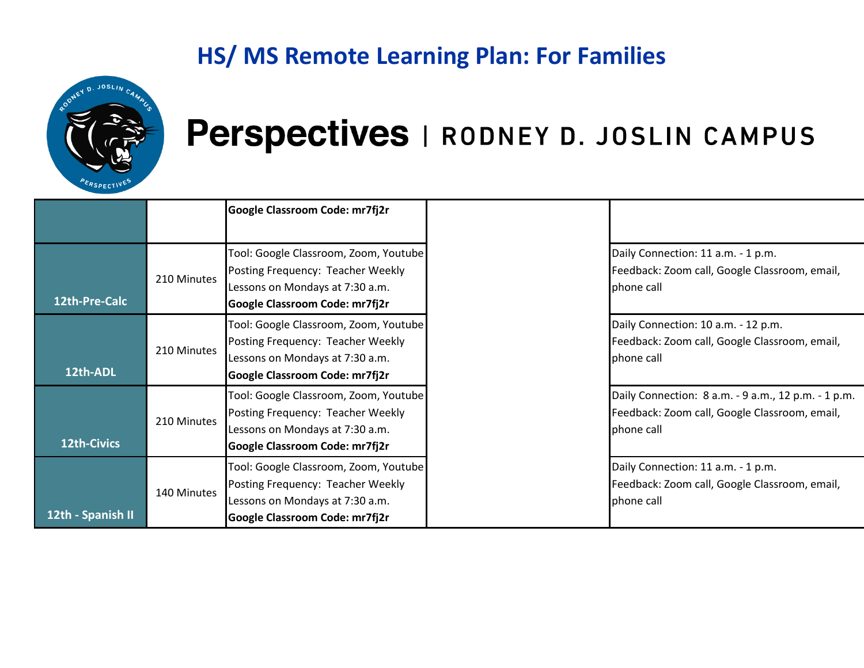

|                    |             | Google Classroom Code: mr7fj2r                                                                                                                         |                                                                                                                    |
|--------------------|-------------|--------------------------------------------------------------------------------------------------------------------------------------------------------|--------------------------------------------------------------------------------------------------------------------|
| 12th-Pre-Calc      | 210 Minutes | Tool: Google Classroom, Zoom, Youtube<br>Posting Frequency: Teacher Weekly<br>Lessons on Mondays at 7:30 a.m.<br>Google Classroom Code: mr7fj2r        | Daily Connection: 11 a.m. - 1 p.m.<br>Feedback: Zoom call, Google Classroom, email,<br>phone call                  |
| 12th-ADL           | 210 Minutes | Tool: Google Classroom, Zoom, Youtube<br>Posting Frequency: Teacher Weekly<br>Lessons on Mondays at 7:30 a.m.<br><b>Google Classroom Code: mr7fj2r</b> | Daily Connection: 10 a.m. - 12 p.m.<br>Feedback: Zoom call, Google Classroom, email,<br>phone call                 |
| <b>12th-Civics</b> | 210 Minutes | Tool: Google Classroom, Zoom, Youtube<br>Posting Frequency: Teacher Weekly<br>Lessons on Mondays at 7:30 a.m.<br>Google Classroom Code: mr7fj2r        | Daily Connection: 8 a.m. - 9 a.m., 12 p.m. - 1 p.m.<br>Feedback: Zoom call, Google Classroom, email,<br>phone call |
| 12th - Spanish II  | 140 Minutes | Tool: Google Classroom, Zoom, Youtube<br>Posting Frequency: Teacher Weekly<br>Lessons on Mondays at 7:30 a.m.<br>Google Classroom Code: mr7fj2r        | Daily Connection: 11 a.m. - 1 p.m.<br>Feedback: Zoom call, Google Classroom, email,<br>phone call                  |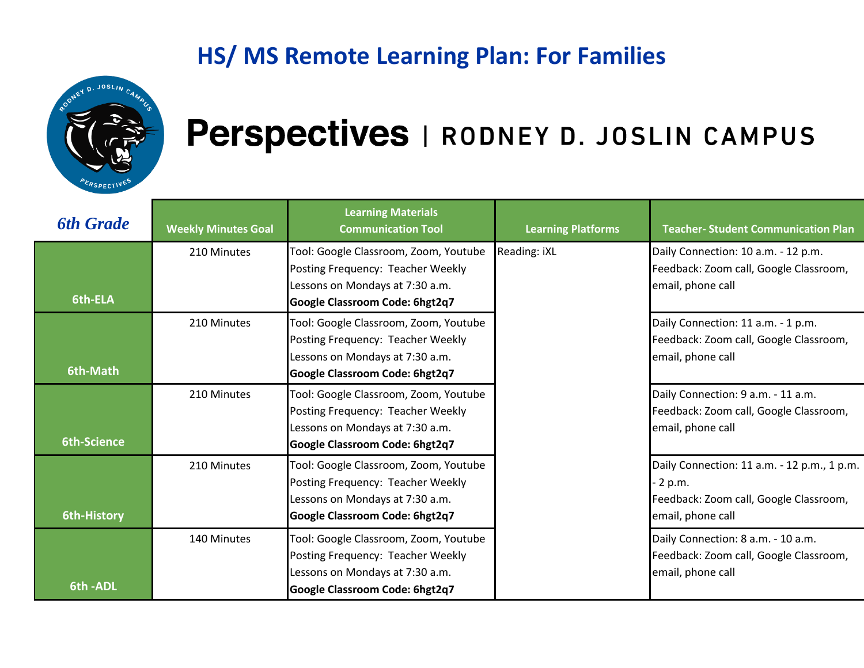

<span id="page-8-0"></span>

| <b>6th Grade</b>   | <b>Weekly Minutes Goal</b> | <b>Learning Materials</b><br><b>Communication Tool</b>                                                                                          | <b>Learning Platforms</b> | <b>Teacher- Student Communication Plan</b>                                                                                   |
|--------------------|----------------------------|-------------------------------------------------------------------------------------------------------------------------------------------------|---------------------------|------------------------------------------------------------------------------------------------------------------------------|
| 6th-ELA            | 210 Minutes                | Tool: Google Classroom, Zoom, Youtube<br>Posting Frequency: Teacher Weekly<br>Lessons on Mondays at 7:30 a.m.<br>Google Classroom Code: 6hgt2q7 | Reading: iXL              | Daily Connection: 10 a.m. - 12 p.m.<br>Feedback: Zoom call, Google Classroom,<br>email, phone call                           |
| 6th-Math           | 210 Minutes                | Tool: Google Classroom, Zoom, Youtube<br>Posting Frequency: Teacher Weekly<br>Lessons on Mondays at 7:30 a.m.<br>Google Classroom Code: 6hgt2q7 |                           | Daily Connection: 11 a.m. - 1 p.m.<br>Feedback: Zoom call, Google Classroom,<br>email, phone call                            |
| <b>6th-Science</b> | 210 Minutes                | Tool: Google Classroom, Zoom, Youtube<br>Posting Frequency: Teacher Weekly<br>Lessons on Mondays at 7:30 a.m.<br>Google Classroom Code: 6hgt2q7 |                           | Daily Connection: 9 a.m. - 11 a.m.<br>Feedback: Zoom call, Google Classroom,<br>email, phone call                            |
| 6th-History        | 210 Minutes                | Tool: Google Classroom, Zoom, Youtube<br>Posting Frequency: Teacher Weekly<br>Lessons on Mondays at 7:30 a.m.<br>Google Classroom Code: 6hgt2q7 |                           | Daily Connection: 11 a.m. - 12 p.m., 1 p.m.<br>$\cdot$ 2 p.m.<br>Feedback: Zoom call, Google Classroom,<br>email, phone call |
| 6th-ADL            | 140 Minutes                | Tool: Google Classroom, Zoom, Youtube<br>Posting Frequency: Teacher Weekly<br>Lessons on Mondays at 7:30 a.m.<br>Google Classroom Code: 6hgt2q7 |                           | Daily Connection: 8 a.m. - 10 a.m.<br>Feedback: Zoom call, Google Classroom,<br>email, phone call                            |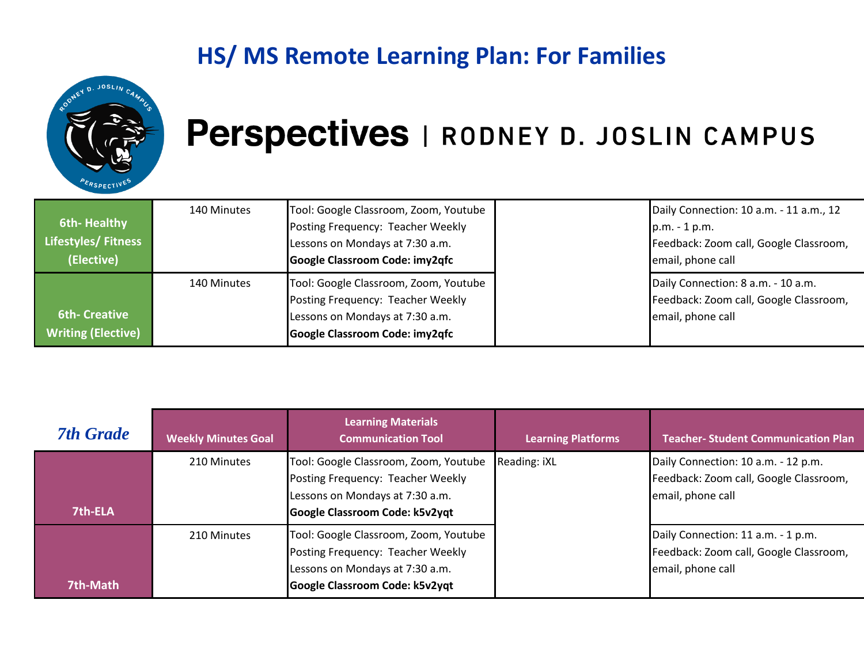

| <b>6th-Healthy</b><br>Lifestyles/Fitness<br>(Elective) | 140 Minutes | Tool: Google Classroom, Zoom, Youtube<br>Posting Frequency: Teacher Weekly<br>Lessons on Mondays at 7:30 a.m.<br>Google Classroom Code: imy2qfc | Daily Connection: 10 a.m. - 11 a.m., 12<br>$p.m. - 1 p.m.$<br>Feedback: Zoom call, Google Classroom,<br>email, phone call |
|--------------------------------------------------------|-------------|-------------------------------------------------------------------------------------------------------------------------------------------------|---------------------------------------------------------------------------------------------------------------------------|
| <b>6th- Creative</b><br><b>Writing (Elective)</b>      | 140 Minutes | Tool: Google Classroom, Zoom, Youtube<br>Posting Frequency: Teacher Weekly<br>Lessons on Mondays at 7:30 a.m.<br>Google Classroom Code: imy2qfc | Daily Connection: 8 a.m. - 10 a.m.<br>Feedback: Zoom call, Google Classroom,<br>email, phone call                         |

<span id="page-9-0"></span>

| <b>7th Grade</b> | <b>Weekly Minutes Goal</b> | <b>Learning Materials</b><br><b>Communication Tool</b>                                                                                          | <b>Learning Platforms</b> | <b>Teacher- Student Communication Plan</b>                                                        |
|------------------|----------------------------|-------------------------------------------------------------------------------------------------------------------------------------------------|---------------------------|---------------------------------------------------------------------------------------------------|
|                  | 210 Minutes                | Tool: Google Classroom, Zoom, Youtube<br>Posting Frequency: Teacher Weekly                                                                      | Reading: iXL              | Daily Connection: 10 a.m. - 12 p.m.<br>Feedback: Zoom call, Google Classroom,                     |
| 7th-ELA          |                            | Lessons on Mondays at 7:30 a.m.<br>Google Classroom Code: k5v2yqt                                                                               |                           | email, phone call                                                                                 |
| 7th-Math         | 210 Minutes                | Tool: Google Classroom, Zoom, Youtube<br>Posting Frequency: Teacher Weekly<br>Lessons on Mondays at 7:30 a.m.<br>Google Classroom Code: k5v2yqt |                           | Daily Connection: 11 a.m. - 1 p.m.<br>Feedback: Zoom call, Google Classroom,<br>email, phone call |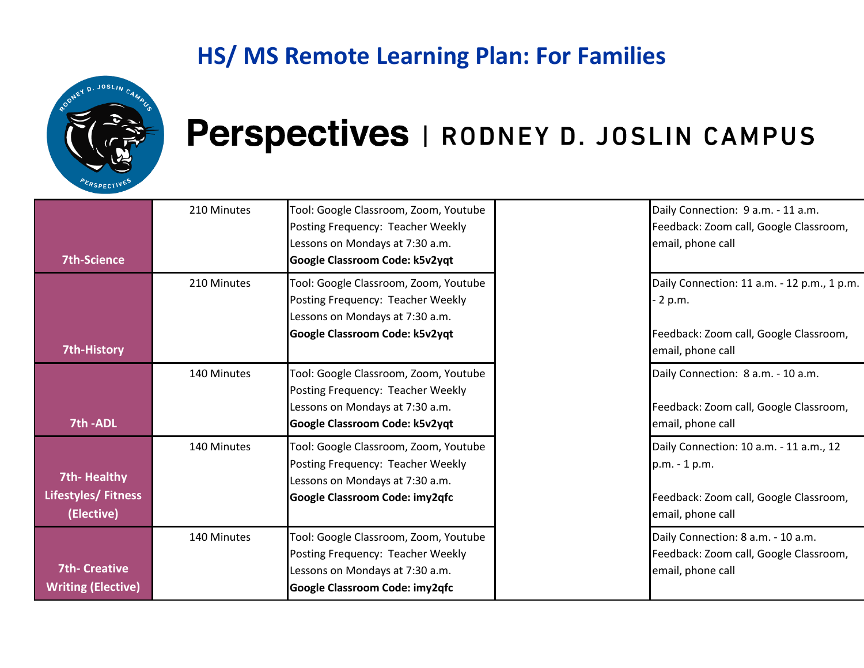

| <b>7th-Science</b>                                             | 210 Minutes | Tool: Google Classroom, Zoom, Youtube<br>Posting Frequency: Teacher Weekly<br>Lessons on Mondays at 7:30 a.m.<br>Google Classroom Code: k5v2yqt | Daily Connection: 9 a.m. - 11 a.m.<br>Feedback: Zoom call, Google Classroom,<br>email, phone call                       |
|----------------------------------------------------------------|-------------|-------------------------------------------------------------------------------------------------------------------------------------------------|-------------------------------------------------------------------------------------------------------------------------|
|                                                                | 210 Minutes | Tool: Google Classroom, Zoom, Youtube<br>Posting Frequency: Teacher Weekly<br>Lessons on Mondays at 7:30 a.m.<br>Google Classroom Code: k5v2yqt | Daily Connection: 11 a.m. - 12 p.m., 1 p.m.<br>2 p.m.<br>Feedback: Zoom call, Google Classroom,                         |
| <b>7th-History</b><br>7th-ADL                                  | 140 Minutes | Tool: Google Classroom, Zoom, Youtube<br>Posting Frequency: Teacher Weekly<br>Lessons on Mondays at 7:30 a.m.<br>Google Classroom Code: k5v2yqt | email, phone call<br>Daily Connection: 8 a.m. - 10 a.m.<br>Feedback: Zoom call, Google Classroom,<br>email, phone call  |
| <b>7th-Healthy</b><br><b>Lifestyles/ Fitness</b><br>(Elective) | 140 Minutes | Tool: Google Classroom, Zoom, Youtube<br>Posting Frequency: Teacher Weekly<br>Lessons on Mondays at 7:30 a.m.<br>Google Classroom Code: imy2qfc | Daily Connection: 10 a.m. - 11 a.m., 12<br>p.m. - 1 p.m.<br>Feedback: Zoom call, Google Classroom,<br>email, phone call |
| <b>7th- Creative</b><br><b>Writing (Elective)</b>              | 140 Minutes | Tool: Google Classroom, Zoom, Youtube<br>Posting Frequency: Teacher Weekly<br>Lessons on Mondays at 7:30 a.m.<br>Google Classroom Code: imy2qfc | Daily Connection: 8 a.m. - 10 a.m.<br>Feedback: Zoom call, Google Classroom,<br>email, phone call                       |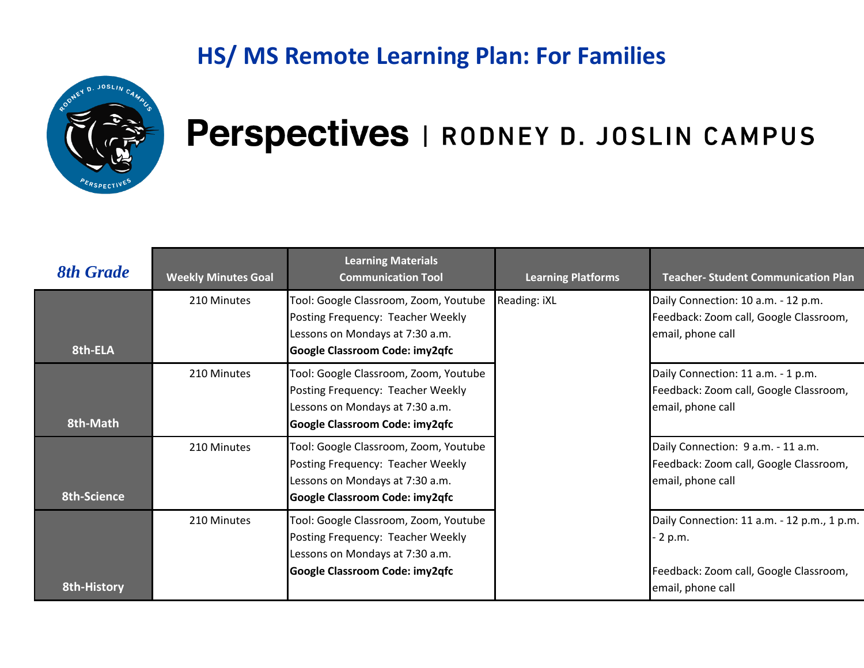

<span id="page-11-0"></span>

| <b>8th Grade</b>   | <b>Weekly Minutes Goal</b> | <b>Learning Materials</b><br><b>Communication Tool</b>                                                                                          | <b>Learning Platforms</b> | <b>Teacher- Student Communication Plan</b>                                                                           |
|--------------------|----------------------------|-------------------------------------------------------------------------------------------------------------------------------------------------|---------------------------|----------------------------------------------------------------------------------------------------------------------|
| 8th-ELA            | 210 Minutes                | Tool: Google Classroom, Zoom, Youtube<br>Posting Frequency: Teacher Weekly<br>Lessons on Mondays at 7:30 a.m.<br>Google Classroom Code: imy2qfc | Reading: iXL              | Daily Connection: 10 a.m. - 12 p.m.<br>Feedback: Zoom call, Google Classroom,<br>email, phone call                   |
| 8th-Math           | 210 Minutes                | Tool: Google Classroom, Zoom, Youtube<br>Posting Frequency: Teacher Weekly<br>Lessons on Mondays at 7:30 a.m.<br>Google Classroom Code: imy2qfc |                           | Daily Connection: 11 a.m. - 1 p.m.<br>Feedback: Zoom call, Google Classroom,<br>email, phone call                    |
| 8th-Science        | 210 Minutes                | Tool: Google Classroom, Zoom, Youtube<br>Posting Frequency: Teacher Weekly<br>Lessons on Mondays at 7:30 a.m.<br>Google Classroom Code: imy2qfc |                           | Daily Connection: 9 a.m. - 11 a.m.<br>Feedback: Zoom call, Google Classroom,<br>email, phone call                    |
| <b>8th-History</b> | 210 Minutes                | Tool: Google Classroom, Zoom, Youtube<br>Posting Frequency: Teacher Weekly<br>Lessons on Mondays at 7:30 a.m.<br>Google Classroom Code: imy2qfc |                           | Daily Connection: 11 a.m. - 12 p.m., 1 p.m.<br>2 p.m.<br>Feedback: Zoom call, Google Classroom,<br>email, phone call |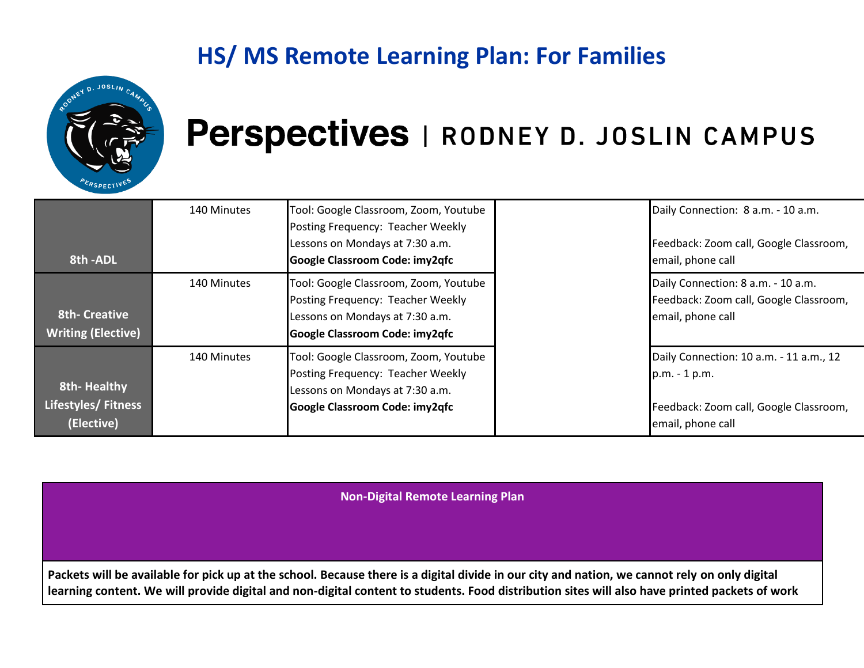

### Perspectives | RODNEY D. JOSLIN CAMPUS

| 8th - ADL                                         | 140 Minutes | Tool: Google Classroom, Zoom, Youtube<br>Posting Frequency: Teacher Weekly<br>Lessons on Mondays at 7:30 a.m.<br>Google Classroom Code: imy2qfc | Daily Connection: 8 a.m. - 10 a.m.<br>Feedback: Zoom call, Google Classroom,<br>email, phone call                       |
|---------------------------------------------------|-------------|-------------------------------------------------------------------------------------------------------------------------------------------------|-------------------------------------------------------------------------------------------------------------------------|
| <b>8th- Creative</b><br><b>Writing (Elective)</b> | 140 Minutes | Tool: Google Classroom, Zoom, Youtube<br>Posting Frequency: Teacher Weekly<br>Lessons on Mondays at 7:30 a.m.<br>Google Classroom Code: imy2qfc | Daily Connection: 8 a.m. - 10 a.m.<br>Feedback: Zoom call, Google Classroom,<br>email, phone call                       |
| 8th-Healthy<br>Lifestyles/Fitness<br>(Elective)   | 140 Minutes | Tool: Google Classroom, Zoom, Youtube<br>Posting Frequency: Teacher Weekly<br>Lessons on Mondays at 7:30 a.m.<br>Google Classroom Code: imy2qfc | Daily Connection: 10 a.m. - 11 a.m., 12<br>p.m. - 1 p.m.<br>Feedback: Zoom call, Google Classroom,<br>email, phone call |

**Non-Digital Remote Learning Plan**

**Packets will be available for pick up at the school. Because there is a digital divide in our city and nation, we cannot rely on only digital learning content. We will provide digital and non-digital content to students. Food distribution sites will also have printed packets of work**